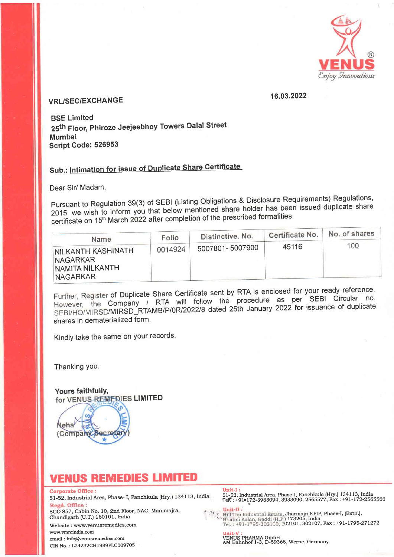

## 16.03.2022 VRL/SEC/EXCHANGE

BSE Limited 25th Floor, Phiroze Jeejeebhoy Towers Dalal Street Mumbai Script Code: 526953

# Sub.: Intimation for issue of Duplicate Share Certificate

Dear Sir/ Madam,

Pursuant to Regulation 39(3) of SEBI (Listing Obligations & Disclosure Requirements) Regulations, 2015, we wish to inform you that below mentioned share holder has been issued duplicate share  $\frac{1}{2015}$ , we wish to morm  $\frac{1}{2022}$  after completion of the prescribed formalities.

| Name                                                                          | Folio   | Distinctive. No. | Certificate No. | No. of shares |  |  |
|-------------------------------------------------------------------------------|---------|------------------|-----------------|---------------|--|--|
| INILKANTH KASHINATH<br><b>NAGARKAR</b><br>INAMITA NILKANTH<br><b>NAGARKAR</b> | 0014924 | 5007801-5007900  | 45116           | 100           |  |  |

Further, Register of Duplicate Share Certificate sent by RTA is enclosed for your ready reference. However, the Company / RTA will follow the procedure as per SEBI Circular no. SEBI/HO/MIRSD/MIRSD\_RTAMB/P/0R/2022/8 dated 25th January 2022 for issuance of duplicate shares in dematerialized form.

Kindly take the same on your records.

Thanking You.

(Company Secreta

for VENUS REMEDIES LIMITED Yours faithfullY,

## **VENUS REMEDIES LIMITED**

Neha

Corporate Office :<br>51-52, Industrial Area, Phase- I, Panchkula (Hry.) 134113, India

SCO 857, Cabin No. 10, 2nd Floor, NAC, Manimajra, Chandigarh (U.T.) 160101, India

Website : www.venusremedies.com

www.rrmrcindia.com email : info@venusremedies.com CIN No. : L24232CHI989PLCOO97O5

sr-32, rndustriarArea, phase- r, panchkura (Hry.) 13ar13,India. i:L?jtjir"rT\$frS\$"",36l?6'ri3!?Sil,tflj ]iji1r?j1#3rru.

:<br>
Hill Top Industrial Estate, Jharmajri EPIP, Phase-I, (Extn.),<br>
Bhatoli Kalan, Baddi (H.P.) 173205, India<br>
Tel. : +91-1795-302100, 302101, 302107, Fax : +91-1795-271272

**Unit-V :**<br>VENUS PHARMA GmbH<br>AM Bahnhof 1-3, D-59368, Werne, Germany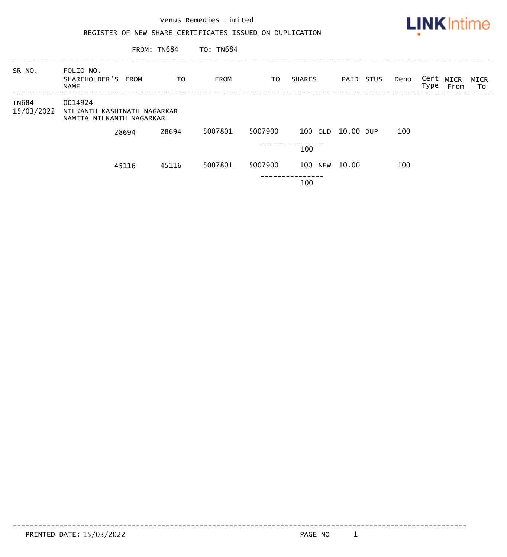

FROM: TN684 TO: TN684

| SR NO.                     | FOLIO NO.<br>SHAREHOLDER'S FROM<br><b>NAME</b>                     |       | TO.   | <b>FROM</b> | TO      | <b>SHARES</b>     | PAID STUS | Deno | Cert MICR<br>Type | From | MICR<br>To |
|----------------------------|--------------------------------------------------------------------|-------|-------|-------------|---------|-------------------|-----------|------|-------------------|------|------------|
| <b>TN684</b><br>15/03/2022 | 0014924<br>NILKANTH KASHINATH NAGARKAR<br>NAMITA NILKANTH NAGARKAR |       |       |             |         |                   |           |      |                   |      |            |
|                            |                                                                    | 28694 | 28694 | 5007801     | 5007900 | 100 OLD 10.00 DUP |           | 100  |                   |      |            |
|                            |                                                                    |       |       |             |         | 100               |           |      |                   |      |            |
|                            |                                                                    | 45116 | 45116 | 5007801     | 5007900 | 100 NEW 10.00     |           | 100  |                   |      |            |
|                            |                                                                    |       |       |             |         | 100               |           |      |                   |      |            |

PRINTED DATE: 15/03/2022 2001 12:00 PAGE NO. 1

------------------------------------------------------------------------------------------------------------